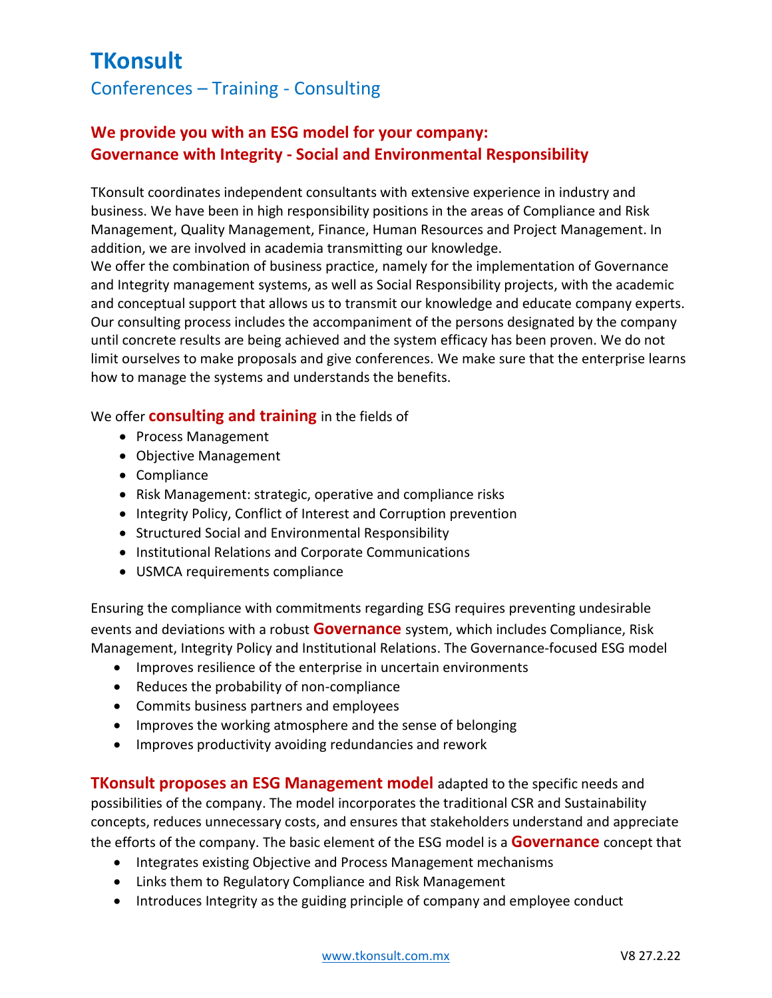## **TKonsult** Conferences – Training - Consulting

## **We provide you with an ESG model for your company: Governance with Integrity - Social and Environmental Responsibility**

TKonsult coordinates independent consultants with extensive experience in industry and business. We have been in high responsibility positions in the areas of Compliance and Risk Management, Quality Management, Finance, Human Resources and Project Management. In addition, we are involved in academia transmitting our knowledge.

We offer the combination of business practice, namely for the implementation of Governance and Integrity management systems, as well as Social Responsibility projects, with the academic and conceptual support that allows us to transmit our knowledge and educate company experts. Our consulting process includes the accompaniment of the persons designated by the company until concrete results are being achieved and the system efficacy has been proven. We do not limit ourselves to make proposals and give conferences. We make sure that the enterprise learns how to manage the systems and understands the benefits.

#### We offer **consulting and training** in the fields of

- Process Management
- Objective Management
- Compliance
- Risk Management: strategic, operative and compliance risks
- Integrity Policy, Conflict of Interest and Corruption prevention
- Structured Social and Environmental Responsibility
- Institutional Relations and Corporate Communications
- USMCA requirements compliance

Ensuring the compliance with commitments regarding ESG requires preventing undesirable events and deviations with a robust **Governance** system, which includes Compliance, Risk Management, Integrity Policy and Institutional Relations. The Governance-focused ESG model

- Improves resilience of the enterprise in uncertain environments
- Reduces the probability of non-compliance
- Commits business partners and employees
- Improves the working atmosphere and the sense of belonging
- Improves productivity avoiding redundancies and rework

**TKonsult proposes an ESG Management model** adapted to the specific needs and possibilities of the company. The model incorporates the traditional CSR and Sustainability concepts, reduces unnecessary costs, and ensures that stakeholders understand and appreciate the efforts of the company. The basic element of the ESG model is a **Governance** concept that

- Integrates existing Objective and Process Management mechanisms
- Links them to Regulatory Compliance and Risk Management
- Introduces Integrity as the guiding principle of company and employee conduct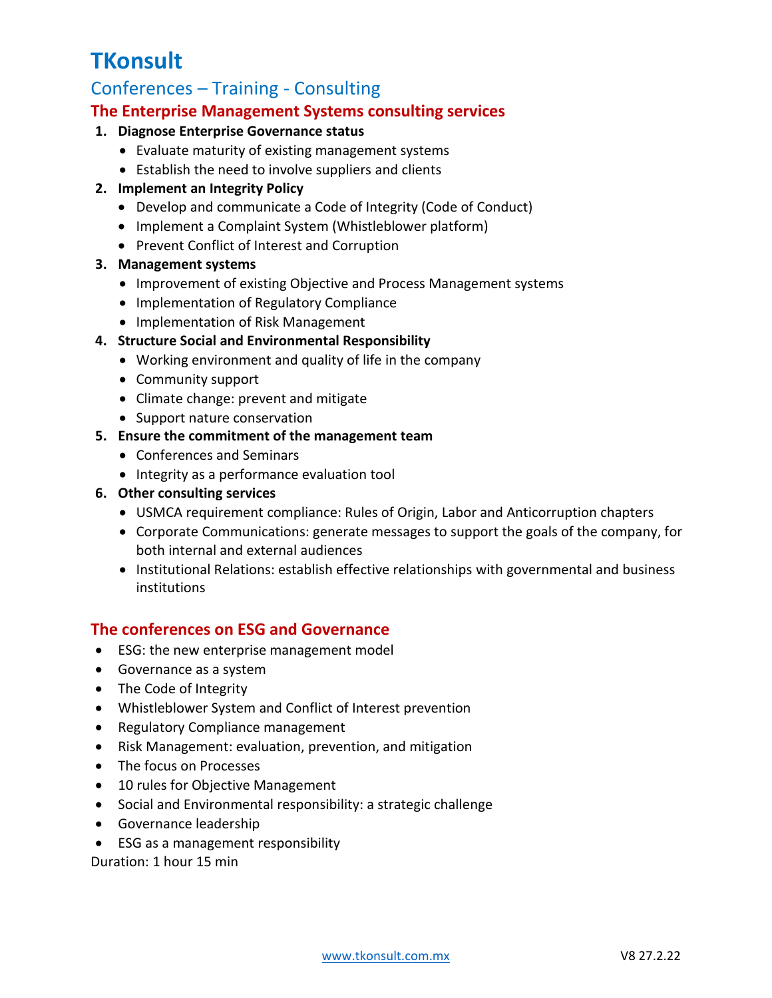# **TKonsult**

## Conferences – Training - Consulting

#### **The Enterprise Management Systems consulting services**

#### **1. Diagnose Enterprise Governance status**

- Evaluate maturity of existing management systems
- Establish the need to involve suppliers and clients

#### **2. Implement an Integrity Policy**

- Develop and communicate a Code of Integrity (Code of Conduct)
- Implement a Complaint System (Whistleblower platform)
- Prevent Conflict of Interest and Corruption

#### **3. Management systems**

- Improvement of existing Objective and Process Management systems
- Implementation of Regulatory Compliance
- Implementation of Risk Management

#### **4. Structure Social and Environmental Responsibility**

- Working environment and quality of life in the company
- Community support
- Climate change: prevent and mitigate
- Support nature conservation
- **5. Ensure the commitment of the management team**
	- Conferences and Seminars
	- Integrity as a performance evaluation tool
- **6. Other consulting services**
	- USMCA requirement compliance: Rules of Origin, Labor and Anticorruption chapters
	- Corporate Communications: generate messages to support the goals of the company, for both internal and external audiences
	- Institutional Relations: establish effective relationships with governmental and business institutions

### **The conferences on ESG and Governance**

- ESG: the new enterprise management model
- Governance as a system
- The Code of Integrity
- Whistleblower System and Conflict of Interest prevention
- Regulatory Compliance management
- Risk Management: evaluation, prevention, and mitigation
- The focus on Processes
- 10 rules for Objective Management
- Social and Environmental responsibility: a strategic challenge
- Governance leadership
- ESG as a management responsibility

Duration: 1 hour 15 min